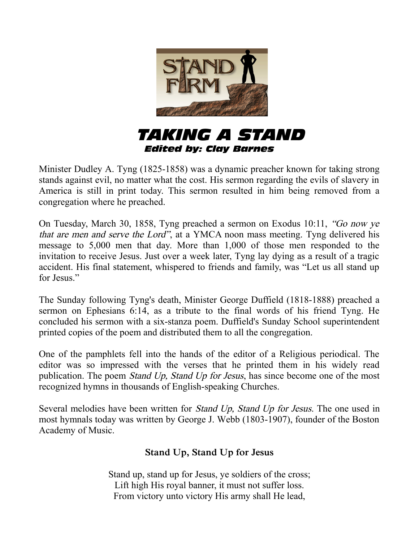

*TAKING A STAND Edited by: Clay Barnes*

Minister Dudley A. Tyng (1825-1858) was a dynamic preacher known for taking strong stands against evil, no matter what the cost. His sermon regarding the evils of slavery in America is still in print today. This sermon resulted in him being removed from a congregation where he preached.

On Tuesday, March 30, 1858, Tyng preached a sermon on Exodus 10:11, "Go now ye that are men and serve the Lord", at a YMCA noon mass meeting. Tyng delivered his message to 5,000 men that day. More than 1,000 of those men responded to the invitation to receive Jesus. Just over a week later, Tyng lay dying as a result of a tragic accident. His final statement, whispered to friends and family, was "Let us all stand up for Jesus."

The Sunday following Tyng's death, Minister George Duffield (1818-1888) preached a sermon on Ephesians 6:14, as a tribute to the final words of his friend Tyng. He concluded his sermon with a six-stanza poem. Duffield's Sunday School superintendent printed copies of the poem and distributed them to all the congregation.

One of the pamphlets fell into the hands of the editor of a Religious periodical. The editor was so impressed with the verses that he printed them in his widely read publication. The poem Stand Up, Stand Up for Jesus, has since become one of the most recognized hymns in thousands of English-speaking Churches.

Several melodies have been written for *Stand Up, Stand Up for Jesus*. The one used in most hymnals today was written by George J. Webb (1803-1907), founder of the Boston Academy of Music.

## **Stand Up, Stand Up for Jesus**

Stand up, stand up for Jesus, ye soldiers of the cross; Lift high His royal banner, it must not suffer loss. From victory unto victory His army shall He lead,